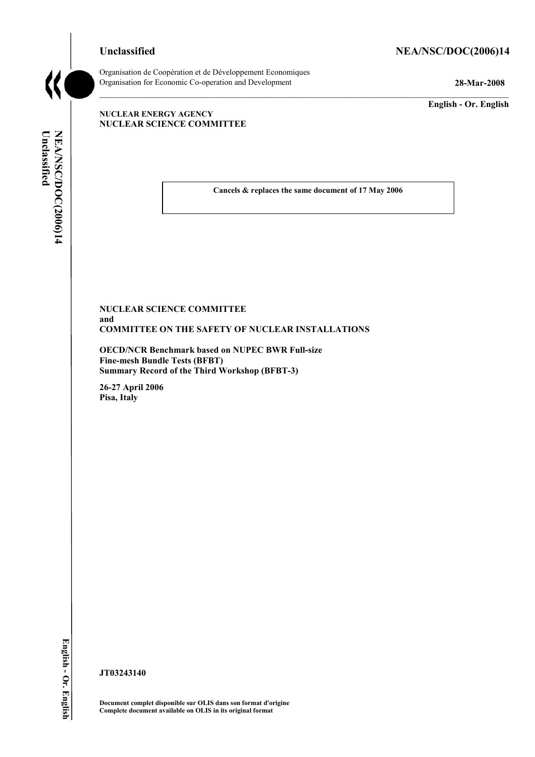# Unclassified NEA/NSC/DOC(2006)14



Organisation de CoopÈration et de DÈveloppement Economiques Organisation for Economic Co-operation and Development **28-Mar-2008** 

**English - Or. English** 

#### **NUCLEAR ENERGY AGENCY NUCLEAR SCIENCE COMMITTEE**

Unclassified NEA/NSC/DOC(2006)14 **Unclassified NEA/NSC/DOC(2006)14 English - Or. English**

**Cancels & replaces the same document of 17 May 2006** 

## **NUCLEAR SCIENCE COMMITTEE and COMMITTEE ON THE SAFETY OF NUCLEAR INSTALLATIONS**

**OECD/NCR Benchmark based on NUPEC BWR Full-size Fine-mesh Bundle Tests (BFBT) Summary Record of the Third Workshop (BFBT-3)** 

**26-27 April 2006 Pisa, Italy** 

English - Or. English

**JT03243140** 

**Document complet disponible sur OLIS dans son format d'origine Complete document available on OLIS in its original format**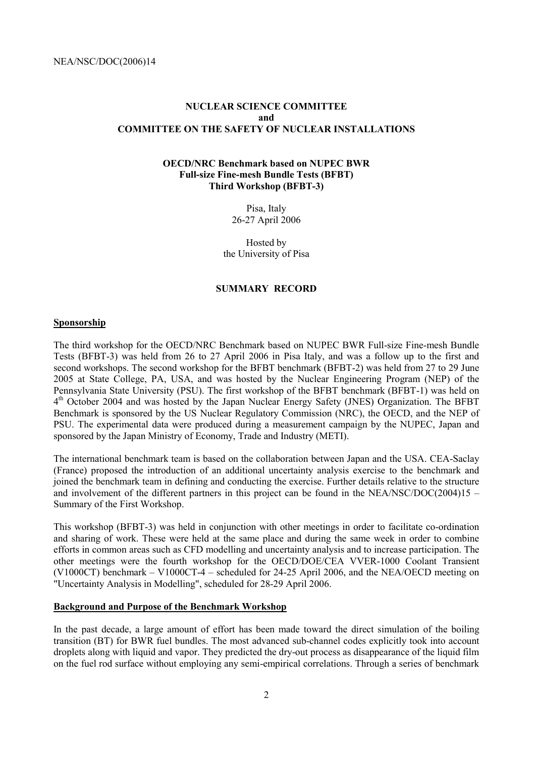# **NUCLEAR SCIENCE COMMITTEE and COMMITTEE ON THE SAFETY OF NUCLEAR INSTALLATIONS**

# **OECD/NRC Benchmark based on NUPEC BWR Full-size Fine-mesh Bundle Tests (BFBT) Third Workshop (BFBT-3)**

Pisa, Italy 26-27 April 2006

Hosted by the University of Pisa

#### **SUMMARY RECORD**

## **Sponsorship**

The third workshop for the OECD/NRC Benchmark based on NUPEC BWR Full-size Fine-mesh Bundle Tests (BFBT-3) was held from 26 to 27 April 2006 in Pisa Italy, and was a follow up to the first and second workshops. The second workshop for the BFBT benchmark (BFBT-2) was held from 27 to 29 June 2005 at State College, PA, USA, and was hosted by the Nuclear Engineering Program (NEP) of the Pennsylvania State University (PSU). The first workshop of the BFBT benchmark (BFBT-1) was held on 4<sup>th</sup> October 2004 and was hosted by the Japan Nuclear Energy Safety (JNES) Organization. The BFBT Benchmark is sponsored by the US Nuclear Regulatory Commission (NRC), the OECD, and the NEP of PSU. The experimental data were produced during a measurement campaign by the NUPEC, Japan and sponsored by the Japan Ministry of Economy, Trade and Industry (METI).

The international benchmark team is based on the collaboration between Japan and the USA. CEA-Saclay (France) proposed the introduction of an additional uncertainty analysis exercise to the benchmark and joined the benchmark team in defining and conducting the exercise. Further details relative to the structure and involvement of the different partners in this project can be found in the NEA/NSC/DOC(2004)15 – Summary of the First Workshop.

This workshop (BFBT-3) was held in conjunction with other meetings in order to facilitate co-ordination and sharing of work. These were held at the same place and during the same week in order to combine efforts in common areas such as CFD modelling and uncertainty analysis and to increase participation. The other meetings were the fourth workshop for the OECD/DOE/CEA VVER-1000 Coolant Transient (V1000CT) benchmark – V1000CT-4 – scheduled for 24-25 April 2006, and the NEA/OECD meeting on "Uncertainty Analysis in Modelling", scheduled for 28-29 April 2006.

## **Background and Purpose of the Benchmark Workshop**

In the past decade, a large amount of effort has been made toward the direct simulation of the boiling transition (BT) for BWR fuel bundles. The most advanced sub-channel codes explicitly took into account droplets along with liquid and vapor. They predicted the dry-out process as disappearance of the liquid film on the fuel rod surface without employing any semi-empirical correlations. Through a series of benchmark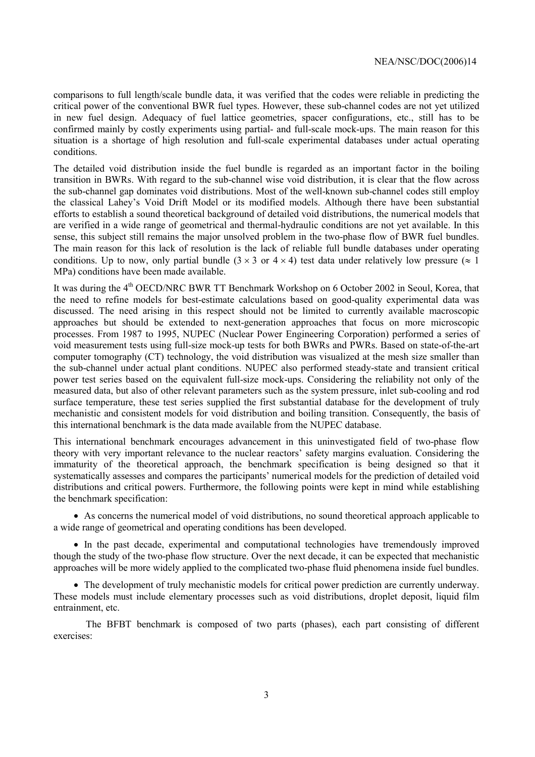comparisons to full length/scale bundle data, it was verified that the codes were reliable in predicting the critical power of the conventional BWR fuel types. However, these sub-channel codes are not yet utilized in new fuel design. Adequacy of fuel lattice geometries, spacer configurations, etc., still has to be confirmed mainly by costly experiments using partial- and full-scale mock-ups. The main reason for this situation is a shortage of high resolution and full-scale experimental databases under actual operating conditions.

The detailed void distribution inside the fuel bundle is regarded as an important factor in the boiling transition in BWRs. With regard to the sub-channel wise void distribution, it is clear that the flow across the sub-channel gap dominates void distributions. Most of the well-known sub-channel codes still employ the classical Lahey's Void Drift Model or its modified models. Although there have been substantial efforts to establish a sound theoretical background of detailed void distributions, the numerical models that are verified in a wide range of geometrical and thermal-hydraulic conditions are not yet available. In this sense, this subject still remains the major unsolved problem in the two-phase flow of BWR fuel bundles. The main reason for this lack of resolution is the lack of reliable full bundle databases under operating conditions. Up to now, only partial bundle  $(3 \times 3 \text{ or } 4 \times 4)$  test data under relatively low pressure ( $\approx 1$ ) MPa) conditions have been made available.

It was during the 4<sup>th</sup> OECD/NRC BWR TT Benchmark Workshop on 6 October 2002 in Seoul, Korea, that the need to refine models for best-estimate calculations based on good-quality experimental data was discussed. The need arising in this respect should not be limited to currently available macroscopic approaches but should be extended to next-generation approaches that focus on more microscopic processes. From 1987 to 1995, NUPEC (Nuclear Power Engineering Corporation) performed a series of void measurement tests using full-size mock-up tests for both BWRs and PWRs. Based on state-of-the-art computer tomography (CT) technology, the void distribution was visualized at the mesh size smaller than the sub-channel under actual plant conditions. NUPEC also performed steady-state and transient critical power test series based on the equivalent full-size mock-ups. Considering the reliability not only of the measured data, but also of other relevant parameters such as the system pressure, inlet sub-cooling and rod surface temperature, these test series supplied the first substantial database for the development of truly mechanistic and consistent models for void distribution and boiling transition. Consequently, the basis of this international benchmark is the data made available from the NUPEC database.

This international benchmark encourages advancement in this uninvestigated field of two-phase flow theory with very important relevance to the nuclear reactors' safety margins evaluation. Considering the immaturity of the theoretical approach, the benchmark specification is being designed so that it systematically assesses and compares the participants' numerical models for the prediction of detailed void distributions and critical powers. Furthermore, the following points were kept in mind while establishing the benchmark specification:

• As concerns the numerical model of void distributions, no sound theoretical approach applicable to a wide range of geometrical and operating conditions has been developed.

• In the past decade, experimental and computational technologies have tremendously improved though the study of the two-phase flow structure. Over the next decade, it can be expected that mechanistic approaches will be more widely applied to the complicated two-phase fluid phenomena inside fuel bundles.

• The development of truly mechanistic models for critical power prediction are currently underway. These models must include elementary processes such as void distributions, droplet deposit, liquid film entrainment, etc.

The BFBT benchmark is composed of two parts (phases), each part consisting of different exercises: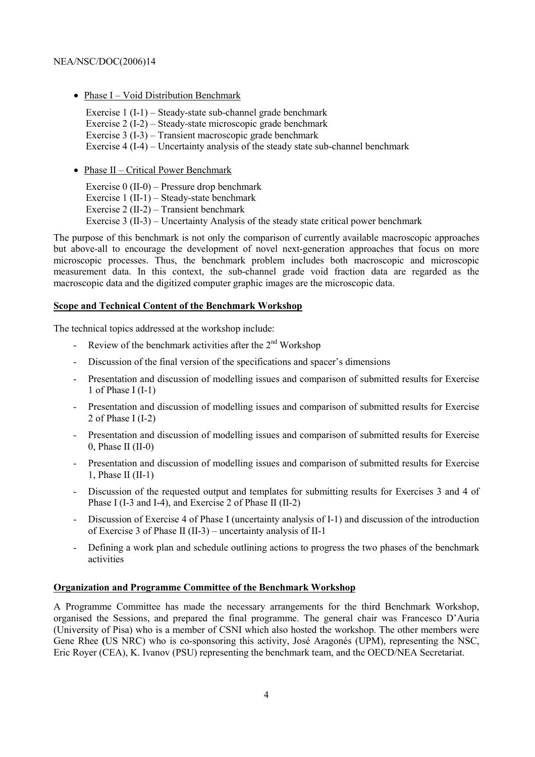• Phase  $I - Void$  Distribution Benchmark

Exercise  $1 (I-1)$  – Steady-state sub-channel grade benchmark Exercise  $2(I-2)$  – Steady-state microscopic grade benchmark Exercise  $3$  (I-3) – Transient macroscopic grade benchmark Exercise  $4 (I-4)$  – Uncertainty analysis of the steady state sub-channel benchmark

• Phase  $II$  – Critical Power Benchmark

Exercise  $0$  (II-0) – Pressure drop benchmark Exercise  $1$  (II-1) – Steady-state benchmark Exercise  $2$  (II-2) – Transient benchmark Exercise 3 (II-3) – Uncertainty Analysis of the steady state critical power benchmark

The purpose of this benchmark is not only the comparison of currently available macroscopic approaches but above-all to encourage the development of novel next-generation approaches that focus on more microscopic processes. Thus, the benchmark problem includes both macroscopic and microscopic measurement data. In this context, the sub-channel grade void fraction data are regarded as the macroscopic data and the digitized computer graphic images are the microscopic data.

# **Scope and Technical Content of the Benchmark Workshop**

The technical topics addressed at the workshop include:

- Review of the benchmark activities after the  $2<sup>nd</sup>$  Workshop
- Discussion of the final version of the specifications and spacer's dimensions
- Presentation and discussion of modelling issues and comparison of submitted results for Exercise 1 of Phase I (I-1)
- Presentation and discussion of modelling issues and comparison of submitted results for Exercise 2 of Phase I (I-2)
- Presentation and discussion of modelling issues and comparison of submitted results for Exercise  $0$ , Phase II (II-0)
- Presentation and discussion of modelling issues and comparison of submitted results for Exercise 1, Phase II  $(II-1)$
- Discussion of the requested output and templates for submitting results for Exercises 3 and 4 of Phase I (I-3 and I-4), and Exercise 2 of Phase II (II-2)
- Discussion of Exercise 4 of Phase I (uncertainty analysis of I-1) and discussion of the introduction of Exercise 3 of Phase II (II-3) – uncertainty analysis of II-1
- Defining a work plan and schedule outlining actions to progress the two phases of the benchmark activities

# **Organization and Programme Committee of the Benchmark Workshop**

A Programme Committee has made the necessary arrangements for the third Benchmark Workshop, organised the Sessions, and prepared the final programme. The general chair was Francesco DíAuria (University of Pisa) who is a member of CSNI which also hosted the workshop. The other members were Gene Rhee (US NRC) who is co-sponsoring this activity, José Aragonés (UPM), representing the NSC, Eric Royer (CEA), K. Ivanov (PSU) representing the benchmark team, and the OECD/NEA Secretariat.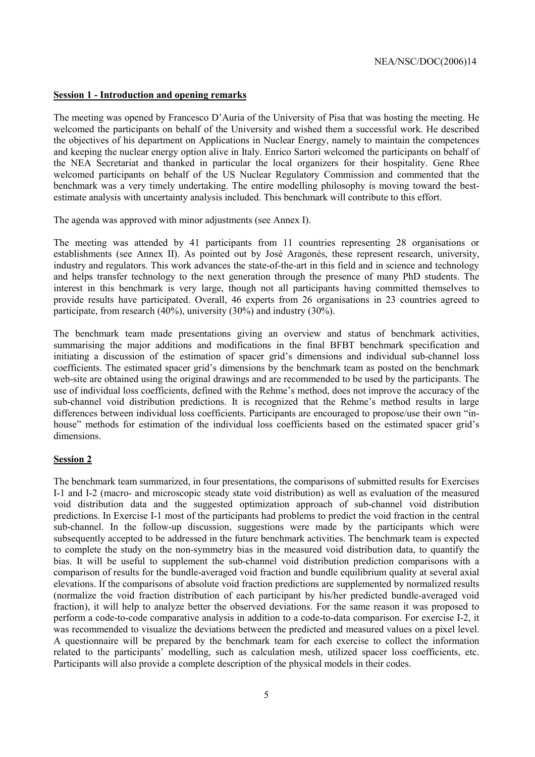## **Session 1 - Introduction and opening remarks**

The meeting was opened by Francesco D'Auria of the University of Pisa that was hosting the meeting. He welcomed the participants on behalf of the University and wished them a successful work. He described the objectives of his department on Applications in Nuclear Energy, namely to maintain the competences and keeping the nuclear energy option alive in Italy. Enrico Sartori welcomed the participants on behalf of the NEA Secretariat and thanked in particular the local organizers for their hospitality. Gene Rhee welcomed participants on behalf of the US Nuclear Regulatory Commission and commented that the benchmark was a very timely undertaking. The entire modelling philosophy is moving toward the bestestimate analysis with uncertainty analysis included. This benchmark will contribute to this effort.

The agenda was approved with minor adjustments (see Annex I).

The meeting was attended by 41 participants from 11 countries representing 28 organisations or establishments (see Annex II). As pointed out by José Aragonés, these represent research, university, industry and regulators. This work advances the state-of-the-art in this field and in science and technology and helps transfer technology to the next generation through the presence of many PhD students. The interest in this benchmark is very large, though not all participants having committed themselves to provide results have participated. Overall, 46 experts from 26 organisations in 23 countries agreed to participate, from research  $(40\%)$ , university  $(30\%)$  and industry  $(30\%)$ .

The benchmark team made presentations giving an overview and status of benchmark activities, summarising the major additions and modifications in the final BFBT benchmark specification and initiating a discussion of the estimation of spacer grid's dimensions and individual sub-channel loss coefficients. The estimated spacer grid's dimensions by the benchmark team as posted on the benchmark web-site are obtained using the original drawings and are recommended to be used by the participants. The use of individual loss coefficients, defined with the Rehme's method, does not improve the accuracy of the sub-channel void distribution predictions. It is recognized that the Rehme's method results in large differences between individual loss coefficients. Participants are encouraged to propose/use their own "inhouse" methods for estimation of the individual loss coefficients based on the estimated spacer grid's dimensions.

#### **Session 2**

The benchmark team summarized, in four presentations, the comparisons of submitted results for Exercises I-1 and I-2 (macro- and microscopic steady state void distribution) as well as evaluation of the measured void distribution data and the suggested optimization approach of sub-channel void distribution predictions. In Exercise I-1 most of the participants had problems to predict the void fraction in the central sub-channel. In the follow-up discussion, suggestions were made by the participants which were subsequently accepted to be addressed in the future benchmark activities. The benchmark team is expected to complete the study on the non-symmetry bias in the measured void distribution data, to quantify the bias. It will be useful to supplement the sub-channel void distribution prediction comparisons with a comparison of results for the bundle-averaged void fraction and bundle equilibrium quality at several axial elevations. If the comparisons of absolute void fraction predictions are supplemented by normalized results (normalize the void fraction distribution of each participant by his/her predicted bundle-averaged void fraction), it will help to analyze better the observed deviations. For the same reason it was proposed to perform a code-to-code comparative analysis in addition to a code-to-data comparison. For exercise I-2, it was recommended to visualize the deviations between the predicted and measured values on a pixel level. A questionnaire will be prepared by the benchmark team for each exercise to collect the information related to the participantsí modelling, such as calculation mesh, utilized spacer loss coefficients, etc. Participants will also provide a complete description of the physical models in their codes.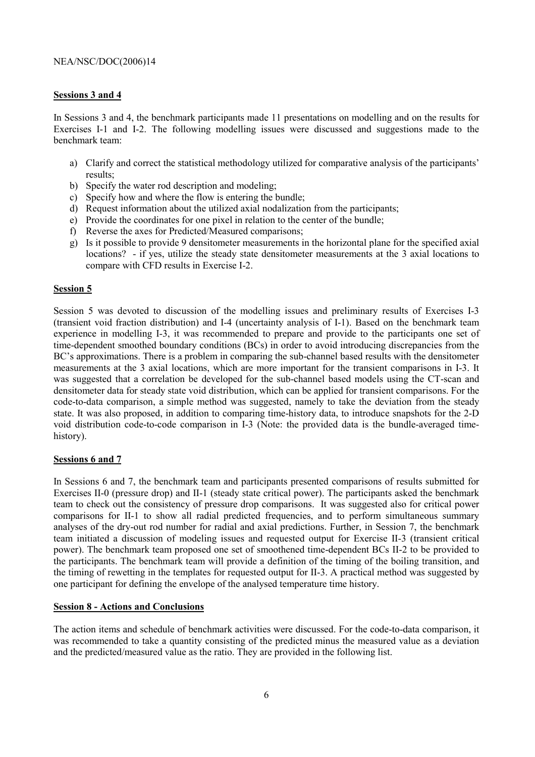# **Sessions 3 and 4**

In Sessions 3 and 4, the benchmark participants made 11 presentations on modelling and on the results for Exercises I-1 and I-2. The following modelling issues were discussed and suggestions made to the benchmark team:

- a) Clarify and correct the statistical methodology utilized for comparative analysis of the participantsí results;
- b) Specify the water rod description and modeling;
- c) Specify how and where the flow is entering the bundle;
- d) Request information about the utilized axial nodalization from the participants;
- e) Provide the coordinates for one pixel in relation to the center of the bundle;
- f) Reverse the axes for Predicted/Measured comparisons;
- g) Is it possible to provide 9 densitometer measurements in the horizontal plane for the specified axial locations? - if yes, utilize the steady state densitometer measurements at the 3 axial locations to compare with CFD results in Exercise I-2.

# **Session 5**

Session 5 was devoted to discussion of the modelling issues and preliminary results of Exercises I-3 (transient void fraction distribution) and I-4 (uncertainty analysis of I-1). Based on the benchmark team experience in modelling I-3, it was recommended to prepare and provide to the participants one set of time-dependent smoothed boundary conditions (BCs) in order to avoid introducing discrepancies from the BC's approximations. There is a problem in comparing the sub-channel based results with the densitometer measurements at the 3 axial locations, which are more important for the transient comparisons in I-3. It was suggested that a correlation be developed for the sub-channel based models using the CT-scan and densitometer data for steady state void distribution, which can be applied for transient comparisons. For the code-to-data comparison, a simple method was suggested, namely to take the deviation from the steady state. It was also proposed, in addition to comparing time-history data, to introduce snapshots for the 2-D void distribution code-to-code comparison in I-3 (Note: the provided data is the bundle-averaged timehistory).

# **Sessions 6 and 7**

In Sessions 6 and 7, the benchmark team and participants presented comparisons of results submitted for Exercises II-0 (pressure drop) and II-1 (steady state critical power). The participants asked the benchmark team to check out the consistency of pressure drop comparisons. It was suggested also for critical power comparisons for II-1 to show all radial predicted frequencies, and to perform simultaneous summary analyses of the dry-out rod number for radial and axial predictions. Further, in Session 7, the benchmark team initiated a discussion of modeling issues and requested output for Exercise II-3 (transient critical power). The benchmark team proposed one set of smoothened time-dependent BCs II-2 to be provided to the participants. The benchmark team will provide a definition of the timing of the boiling transition, and the timing of rewetting in the templates for requested output for II-3. A practical method was suggested by one participant for defining the envelope of the analysed temperature time history.

# **Session 8 - Actions and Conclusions**

The action items and schedule of benchmark activities were discussed. For the code-to-data comparison, it was recommended to take a quantity consisting of the predicted minus the measured value as a deviation and the predicted/measured value as the ratio. They are provided in the following list.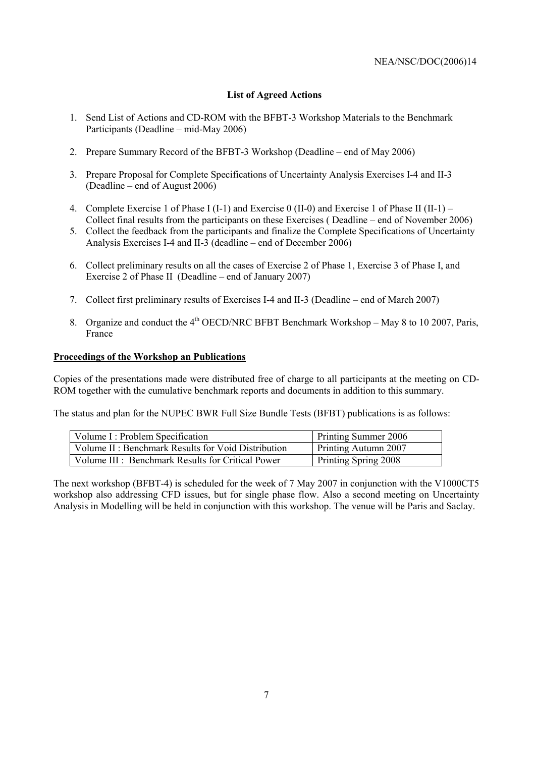# **List of Agreed Actions**

- 1. Send List of Actions and CD-ROM with the BFBT-3 Workshop Materials to the Benchmark Participants (Deadline  $-$  mid-May 2006)
- 2. Prepare Summary Record of the BFBT-3 Workshop (Deadline  $-$  end of May 2006)
- 3. Prepare Proposal for Complete Specifications of Uncertainty Analysis Exercises I-4 and II-3  $(Deadline - end of August 2006)$
- 4. Complete Exercise 1 of Phase I (I-1) and Exercise 0 (II-0) and Exercise 1 of Phase II (II-1) Collect final results from the participants on these Exercises ( $Deadline - end$  of November 2006)
- 5. Collect the feedback from the participants and finalize the Complete Specifications of Uncertainty Analysis Exercises I-4 and II-3 (deadline  $-$  end of December 2006)
- 6. Collect preliminary results on all the cases of Exercise 2 of Phase 1, Exercise 3 of Phase I, and Exercise 2 of Phase II (Deadline – end of January 2007)
- 7. Collect first preliminary results of Exercises I-4 and II-3 (Deadline end of March 2007)
- 8. Organize and conduct the  $4<sup>th</sup>$  OECD/NRC BFBT Benchmark Workshop May 8 to 10 2007, Paris, France

## **Proceedings of the Workshop an Publications**

Copies of the presentations made were distributed free of charge to all participants at the meeting on CD-ROM together with the cumulative benchmark reports and documents in addition to this summary.

The status and plan for the NUPEC BWR Full Size Bundle Tests (BFBT) publications is as follows:

| Volume I: Problem Specification                    | Printing Summer 2006 |
|----------------------------------------------------|----------------------|
| Volume II: Benchmark Results for Void Distribution | Printing Autumn 2007 |
| Volume III : Benchmark Results for Critical Power  | Printing Spring 2008 |

The next workshop (BFBT-4) is scheduled for the week of 7 May 2007 in conjunction with the V1000CT5 workshop also addressing CFD issues, but for single phase flow. Also a second meeting on Uncertainty Analysis in Modelling will be held in conjunction with this workshop. The venue will be Paris and Saclay.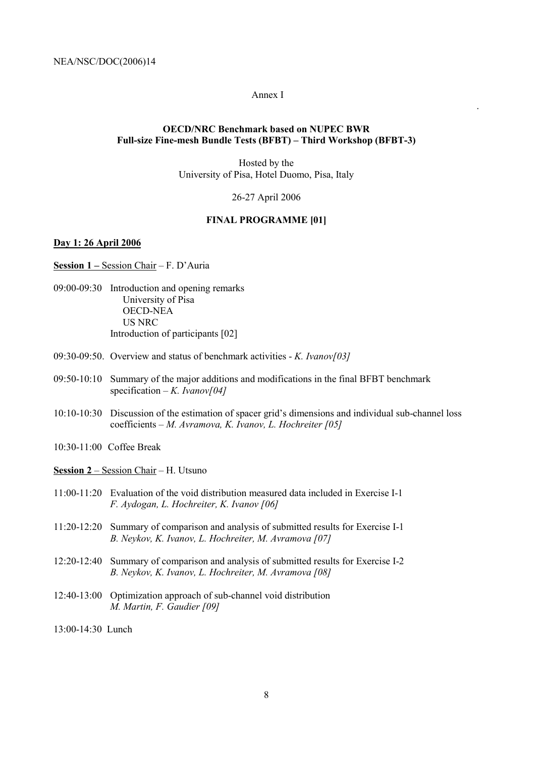#### Annex I

.

## **OECD/NRC Benchmark based on NUPEC BWR Full-size Fine-mesh Bundle Tests (BFBT) – Third Workshop (BFBT-3)**

Hosted by the University of Pisa, Hotel Duomo, Pisa, Italy

26-27 April 2006

## **FINAL PROGRAMME [01]**

# **Day 1: 26 April 2006**

**Session 1 – Session Chair – F. D'Auria** 

- 09:00-09:30 Introduction and opening remarks University of Pisa OECD-NEA US NRC Introduction of participants [02]
- 09:30-09:50. Overview and status of benchmark activities *K. Ivanov[03]*
- 09:50-10:10 Summary of the major additions and modifications in the final BFBT benchmark specification  $-K$ *. Ivanov*[04]
- 10:10-10:30 Discussion of the estimation of spacer gridís dimensions and individual sub-channel loss coefficients – M. Avramova, K. Ivanov, L. Hochreiter [05]
- 10:30-11:00 Coffee Break
- **Session 2** Session Chair H. Utsuno
- 11:00-11:20 Evaluation of the void distribution measured data included in Exercise I-1 *F. Aydogan, L. Hochreiter, K. Ivanov [06]*
- 11:20-12:20 Summary of comparison and analysis of submitted results for Exercise I-1 *B. Neykov, K. Ivanov, L. Hochreiter, M. Avramova [07]*
- 12:20-12:40 Summary of comparison and analysis of submitted results for Exercise I-2 *B. Neykov, K. Ivanov, L. Hochreiter, M. Avramova [08]*
- 12:40-13:00 Optimization approach of sub-channel void distribution *M. Martin, F. Gaudier [09]*
- 13:00-14:30 Lunch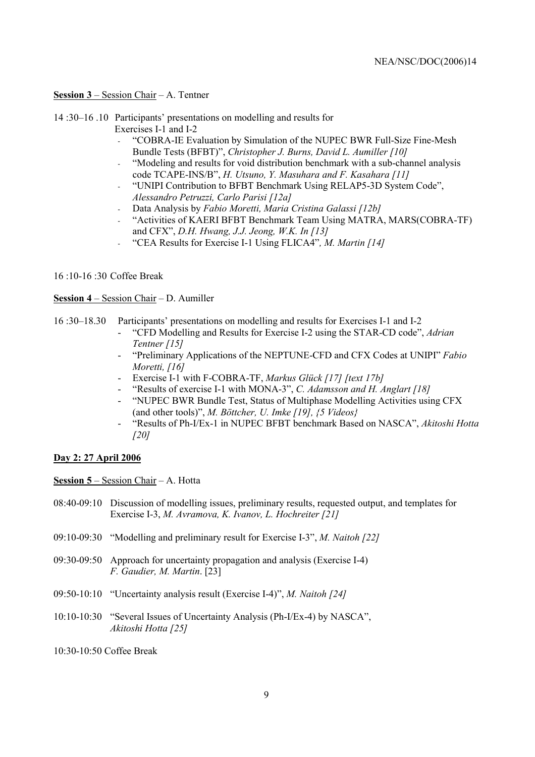## **Session 3**  $-$  Session Chair  $-$  A. Tentner

14 :30–16 .10 Participants' presentations on modelling and results for Exercises I-1 and I-2

- "COBRA-IE Evaluation by Simulation of the NUPEC BWR Full-Size Fine-Mesh Bundle Tests (BFBT)", Christopher J. Burns, David L. Aumiller [10]
- "Modeling and results for void distribution benchmark with a sub-channel analysis code TCAPE-INS/Bî, *H. Utsuno, Y. Masuhara and F. Kasahara [11]*
- "UNIPI Contribution to BFBT Benchmark Using RELAP5-3D System Code", *Alessandro Petruzzi, Carlo Parisi [12a]*
- Data Analysis by *Fabio Moretti, Maria Cristina Galassi [12b]*
- "Activities of KAERI BFBT Benchmark Team Using MATRA, MARS(COBRA-TF) and CFXî, *D.H. Hwang, J.J. Jeong, W.K. In [13]*
- <sup>"</sup>CEA Results for Exercise I-1 Using FLICA4", *M. Martin [14]*

## 16 :10-16 :30 Coffee Break

# **Session 4** – Session Chair – D. Aumiller

- 16 :30ñ18.30 Participantsí presentations on modelling and results for Exercises I-1 and I-2
	- "CFD Modelling and Results for Exercise I-2 using the STAR-CD code", *Adrian Tentner [15]*
	- "Preliminary Applications of the NEPTUNE-CFD and CFX Codes at UNIPI<sup>*r</sup> Fabio*</sup> *Moretti, [16]*
	- Exercise I-1 with F-COBRA-TF, *Markus Glück [17] [text 17b]*
	- "Results of exercise I-1 with MONA-3", C. Adamsson and H. Anglart [18]
	- ìNUPEC BWR Bundle Test, Status of Multiphase Modelling Activities using CFX (and other tools)", *M. Böttcher, U. Imke [19], {5 Videos}*
	- ìResults of Ph-I/Ex-1 in NUPEC BFBT benchmark Based on NASCAî, *Akitoshi Hotta [20]*

# **Day 2: 27 April 2006**

**Session 5** – Session Chair – A. Hotta

- 08:40-09:10 Discussion of modelling issues, preliminary results, requested output, and templates for Exercise I-3, *M. Avramova, K. Ivanov, L. Hochreiter [21]*
- 09:10-09:30 *"Modelling and preliminary result for Exercise I-3", M. Naitoh [22]*
- 09:30-09:50 Approach for uncertainty propagation and analysis (Exercise I-4) *F. Gaudier, M. Martin*. [23]
- 09:50-10:10 *"*Uncertainty analysis result (Exercise I-4)", *M. Naitoh [24]*
- $10:10-10:30$  "Several Issues of Uncertainty Analysis (Ph-I/Ex-4) by NASCA", *Akitoshi Hotta [25]*
- 10:30-10:50 Coffee Break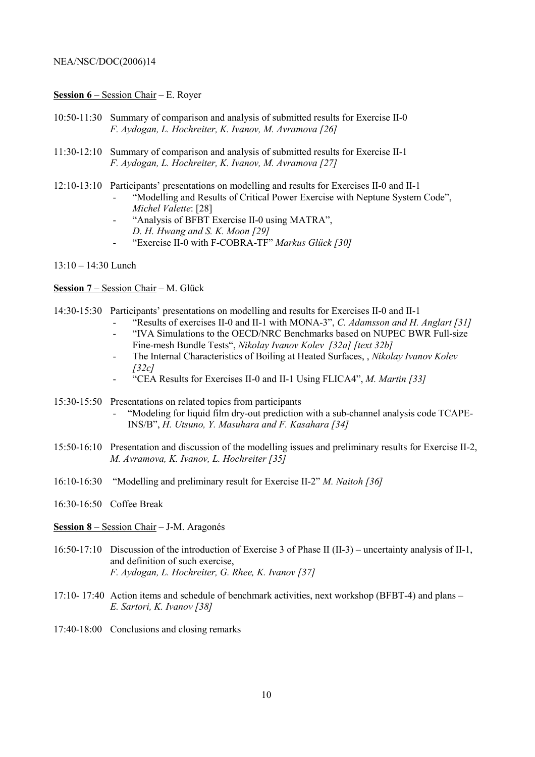#### **<u>Session 6** – Session Chair</u> – E. Royer

- 10:50-11:30 Summary of comparison and analysis of submitted results for Exercise II-0 *F. Aydogan, L. Hochreiter, K. Ivanov, M. Avramova [26]*
- 11:30-12:10 Summary of comparison and analysis of submitted results for Exercise II-1 *F. Aydogan, L. Hochreiter, K. Ivanov, M. Avramova [27]*
- 12:10-13:10 Participantsí presentations on modelling and results for Exercises II-0 and II-1
	- "Modelling and Results of Critical Power Exercise with Neptune System Code", *Michel Valette*: [28]
		- "Analysis of BFBT Exercise II-0 using MATRA", *D. H. Hwang and S. K. Moon [29]*
		- "Exercise II-0 with F-COBRA-TF" Markus Glück [30]
- $13:10 14:30$  Lunch

**Session 7** – Session Chair – M. Glück

- 14:30-15:30 Participantsí presentations on modelling and results for Exercises II-0 and II-1
	- "Results of exercises II-0 and II-1 with MONA-3", C. Adamsson and H. Anglart [31] "IVA Simulations to the OECD/NRC Benchmarks based on NUPEC BWR Full-size
	- Fine-mesh Bundle Tests", *Nikolay Ivanov Kolev [32a] [text 32b]*
	- The Internal Characteristics of Boiling at Heated Surfaces, , *Nikolay Ivanov Kolev [32c]*
	- "CEA Results for Exercises II-0 and II-1 Using FLICA4", *M. Martin [33]*
- 15:30-15:50 Presentations on related topics from participants
	- "Modeling for liquid film dry-out prediction with a sub-channel analysis code TCAPE-INS/Bî, *H. Utsuno, Y. Masuhara and F. Kasahara [34]*
- 15:50-16:10 Presentation and discussion of the modelling issues and preliminary results for Exercise II-2, *M. Avramova, K. Ivanov, L. Hochreiter [35]*
- 16:10-16:30  *•*Modelling and preliminary result for Exercise II-2<sup>*°</sup> M. Naitoh [36]*</sup>
- 16:30-16:50 Coffee Break

**Session 8** – Session Chair – J-M. Aragonés

- $16:50-17:10$  Discussion of the introduction of Exercise 3 of Phase II (II-3) uncertainty analysis of II-1, and definition of such exercise, *F. Aydogan, L. Hochreiter, G. Rhee, K. Ivanov [37]*
- $17:10-17:40$  Action items and schedule of benchmark activities, next workshop (BFBT-4) and plans *E. Sartori, K. Ivanov [38]*
- 17:40-18:00 Conclusions and closing remarks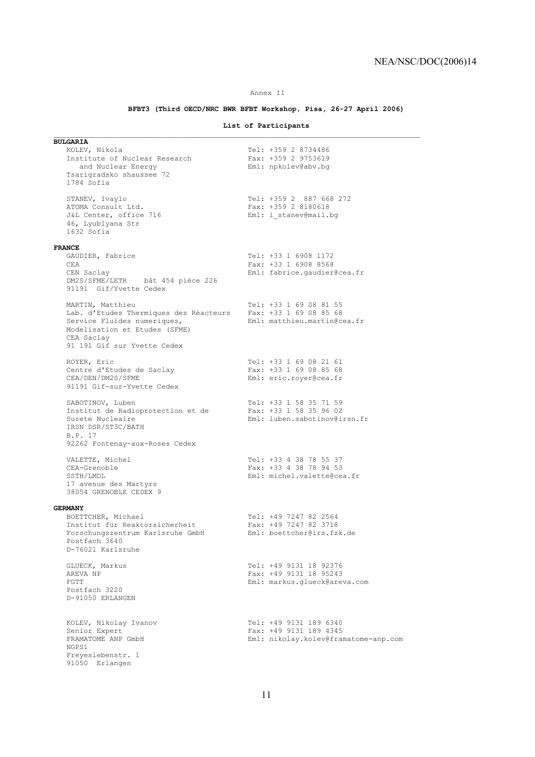#### Annex II

## **BFBT3 (Third OECD/NRC BWR BFBT Workshop, Pisa, 26-27 April 2006)**

## **List of Participants**

 $\mathcal{L}_\text{max}$ 

| <b>BULGARIA</b>                                               |                                      |
|---------------------------------------------------------------|--------------------------------------|
| KOLEV, Nikola                                                 | Tel: +359 2 8734486                  |
| Institute of Nuclear Research                                 | Fax: +359 2 9753619                  |
| and Nuclear Energy                                            | Eml: npkolev@abv.bq                  |
| Tsarigradsko shaussee 72<br>1784 Sofia                        |                                      |
|                                                               |                                      |
| STANEV, Ivaylo                                                | Tel: +359 2 887 668 272              |
| ATOMA Consult Ltd.                                            | Fax: +359 2 8180618                  |
| J&L Center, office 716                                        | Eml: i stanev@mail.bq                |
| 46, Lyublyana Str                                             |                                      |
| 1632 Sofia                                                    |                                      |
|                                                               |                                      |
| <b>FRANCE</b>                                                 |                                      |
| GAUDIER, Fabrice                                              | Tel: +33 1 6908 1172                 |
| CEA                                                           | Fax: +33 1 6908 8568                 |
| CEN Saclay                                                    | Eml: fabrice.gaudier@cea.fr          |
| DM2S/SFME/LETR bât 454 pièce 226                              |                                      |
| 91191 Gif/Yvette Cedex                                        |                                      |
|                                                               |                                      |
| MARTIN, Matthieu                                              | Tel: +33 1 69 08 81 55               |
| Lab. d'Etudes Thermiques des Réacteurs Fax: +33 1 69 08 85 68 |                                      |
| Service Fluides numeriques,                                   | Eml: matthieu.martin@cea.fr          |
| Modelisation et Etudes (SFME)                                 |                                      |
| CEA Saclay                                                    |                                      |
| 91 191 Gif sur Yvette Cedex                                   |                                      |
|                                                               |                                      |
| ROYER, Eric                                                   | Tel: +33 1 69 08 21 61               |
| Centre d'Etudes de Saclay                                     | Fax: +33 1 69 08 85 68               |
| CEA/DEN/DM2S/SFME                                             | Eml: eric.royer@cea.fr               |
| 91191 Gif-sur-Yvette Cedex                                    |                                      |
| SABOTINOV, Luben                                              | Tel: +33 1 58 35 71 59               |
| Institut de Radioprotection et de                             | Fax: +33 1 58 35 96 02               |
| Surete Nucleaire                                              | Eml: luben.sabotinov@irsn.fr         |
| IRSN DSR/ST3C/BATH                                            |                                      |
| B.P. 17                                                       |                                      |
| 92262 Fontenay-aux-Roses Cedex                                |                                      |
|                                                               |                                      |
| VALETTE, Michel                                               | Tel: +33 4 38 78 55 37               |
| CEA-Grenoble                                                  | Fax: +33 4 38 78 94 53               |
| SSTH/LMDL                                                     | Eml: michel.valette@cea.fr           |
| 17 avenue des Martyrs                                         |                                      |
| 38054 GRENOBLE CEDEX 9                                        |                                      |
|                                                               |                                      |
| <b>GERMANY</b>                                                |                                      |
| BOETTCHER, Michael                                            | Tel: +49 7247 82 2564                |
| Institut für Reaktorsicherheit                                | Fax: +49 7247 82 3718                |
| Forschungszentrum Karlsruhe GmbH                              | Eml: boettcher@irs.fzk.de            |
| Postfach 3640                                                 |                                      |
| D-76021 Karlsruhe                                             |                                      |
|                                                               | Tel: +49 9131 18 92376               |
| GLUECK, Markus<br>AREVA NP                                    | Fax: +49 9131 18 95243               |
| FGTT                                                          | Eml: markus.glueck@areva.com         |
| Postfach 3220                                                 |                                      |
| D-91050 ERLANGEN                                              |                                      |
|                                                               |                                      |
|                                                               |                                      |
| KOLEV, Nikolay Ivanov                                         | Tel: +49 9131 189 6340               |
| Senior Expert                                                 | Fax: +49 9131 189 4345               |
| FRAMATOME ANP GmbH                                            | Eml: nikolay.kolev@framatome-anp.com |
| NGPS1                                                         |                                      |
| Freyeslebenstr. 1                                             |                                      |
| 91050 Erlangen                                                |                                      |
|                                                               |                                      |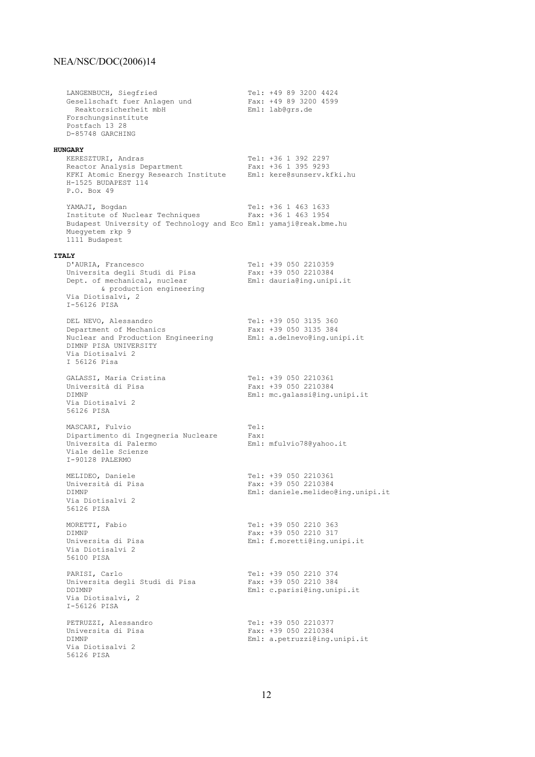LANGENBUCH, Siegfried Tel: +49 89 3200 4424 Gesellschaft fuer Anlagen und Fax: +49 89 3200 4599 Reaktorsicherheit mbH Eml: lab@grs.de Forschungsinstitute Postfach 13 28 D-85748 GARCHING **HUNGARY** KERESZTURI, Andras Tel: +36 1 392 2297 Reactor Analysis Department Fax: +36 1 395 9293 KFKI Atomic Energy Research Institute Eml: kere@sunserv.kfki.hu H-1525 BUDAPEST 114 P.O. Box 49 YAMAJI, Bogdan 1988 1633<br>Thatitute of Nuclear Techniques 1984 163 16463 1754 Institute of Nuclear Techniques Budapest University of Technology and Eco Eml: yamaji@reak.bme.hu Muegyetem rkp 9 1111 Budapest **ITALY** D'AURIA, Francesco Tel: +39 050 2210359 Universita degli Studi di Pisa Fax: +39 050 2210384 Dept. of mechanical, nuclear Eml: dauria@ing.unipi.it & production engineering Via Diotisalvi, 2 I-56126 PISA DEL NEVO, Alessandro Tel: +39 050 3135 360<br>Department of Mechanics Fax: +39 050 3135 384 Department of Mechanics Fax: +39 050 3135 384 Nuclear and Production Engineering Eml: a.delnevo@ing.unipi.it DIMNP PISA UNIVERSITY Via Diotisalvi 2 I 56126 Pisa GALASSI, Maria Cristina<br>
Università di Pisa<br>
Tax: +39 050 2210384 Università di Pisa<br>DIMNP Fax: +39 050 2210384<br>Fami: mc.galassi@ing.j Eml: mc.galassi@ing.unipi.it Via Diotisalvi 2 56126 PISA MASCARI, Fulvio Tel: Dipartimento di Ingegneria Nucleare Fax: Universita di Palermo Eml: mfulvio78@yahoo.it Viale delle Scienze I-90128 PALERMO MELIDEO, Daniele Tel: +39 050 2210361<br>
Università di Pisa Tel: +39 050 2210384 Università di Pisa Fax: +39 050 2210384<br>DIMNP Fml: daniele.melideo Eml: daniele.melideo@ing.unipi.it Via Diotisalvi 2 56126 PISA MORETTI, Fabio 363 DIMNP<br>
Universita di Pisa<br>
Universita di Pisa<br>
Fami: f.moretti@ing.un Eml: f.moretti@ing.unipi.it Via Diotisalvi 2 56100 PISA PARISI, Carlo 1999 1999 100 11: 139 2210 274<br>Universita degli Studi di Pisa 1998 12: 139 2210 284 Universita degli Studi di Pisa DDIMNP Eml: c.parisi@ing.unipi.it Via Diotisalvi, 2 I-56126 PISA PETRUZZI, Alessandro (Pel: +39 050 2210377<br>
Universita di Pisa (Persima Pax: +39 050 2210384 Universita di Pisa<br>DIMNP Eml: a.petruzzi@ing.unipi.it Via Diotisalvi 2 56126 PISA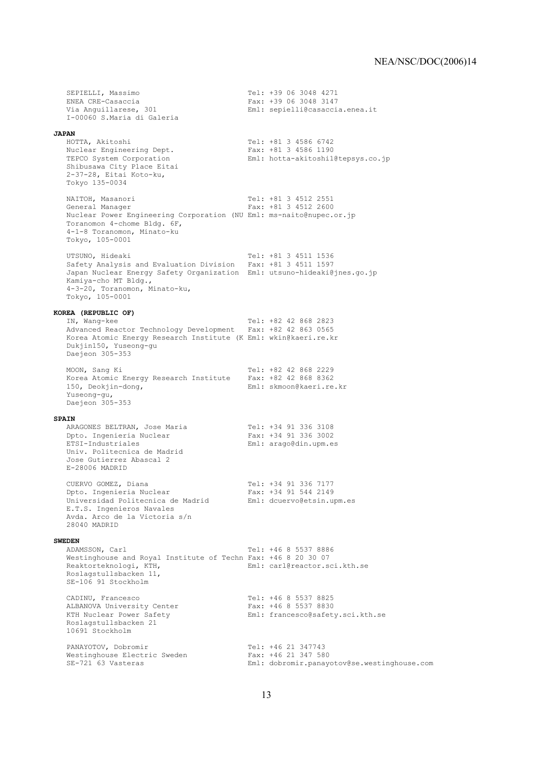SEPIELLI, Massimo Tel: +39 06 3048 4271<br>ENEA CRE-Casaccia Tex: +39 06 3048 3147 ENEA CRE-Casaccia Fax: +39 06 3048 3147 Eml: sepielli@casaccia.enea.it I-00060 S.Maria di Galeria **JAPAN** Tel: +81 3 4586 6742<br>Fax: +81 3 4586 1190 Nuclear Engineering Dept. TEPCO System Corporation Eml: hotta-akitoshi1@tepsys.co.jp Shibusawa City Place Eitai 2-37-28, Eitai Koto-ku, Tokyo 135-0034 NAITOH, Masanori 1988 1991 12: +81 3 4512 2551<br>General Manager 1988 12: +81 3 4512 2600 Fax: +81 3 4512 2600 Nuclear Power Engineering Corporation (NU Eml: ms-naito@nupec.or.jp Toranomon 4-chome Bldg. 6F, 4-1-8 Toranomon, Minato-ku Tokyo, 105-0001 UTSUNO, Hideaki Tel: +81 3 4511 1536 Safety Analysis and Evaluation Division Fax: +81 3 4511 1597 Japan Nuclear Energy Safety Organization Eml: utsuno-hideaki@jnes.go.jp Kamiya-cho MT Bldg., 4-3-20, Toranomon, Minato-ku, Tokyo, 105-0001 **KOREA (REPUBLIC OF)** Tel: +82 42 868 2823 Advanced Reactor Technology Development Fax: +82 42 863 0565 Korea Atomic Energy Research Institute (K Eml: wkin@kaeri.re.kr Dukjin150, Yuseong-gu Daejeon 305-353 MOON, Sang Ki Tel: +82 42 868 2229 Korea Atomic Energy Research Institute Fax: +82 42 868 8362 150, Deokjin-dong, The Communication Eml: skmoon@kaeri.re.kr Yuseong-gu, Daejeon 305-353 **SPAIN** ARAGONES BELTRAN, Jose Maria Tel: +34 91 336 3108 Dpto. Ingenieria Nuclear ETSI-Industriales Eml: arago@din.upm.es Univ. Politecnica de Madrid Jose Gutierrez Abascal 2 E-28006 MADRID CUERVO GOMEZ, Diana Tel: +34 91 336 7177 Dpto. Ingenieria Nuclear Fax: +34 91 544 2149 Universidad Politecnica de Madrid Eml: dcuervo@etsin.upm.es E.T.S. Ingenieros Navales Avda. Arco de la Victoria s/n 28040 MADRID **SWEDEN** ADAMSSON, Carl Tel: +46 8 5537 8886 Westinghouse and Royal Institute of Techn Fax: +46 8 20 30 07 Eml: carl@reactor.sci.kth.se Roslagstullsbacken 11, SE-106 91 Stockholm CADINU, Francesco Tel: +46 8 5537 8825 ALBANOVA University Center Fax: +46 8 5537 8830 ALBANOVA University Center Fax: +46 8 5537 8830<br>KTH Nuclear Power Safety Eml: francesco@safety.sci.kth.se Roslagstullsbacken 21 10691 Stockholm PANAYOTOV, Dobromir<br>
Westinghouse Electric Sweden<br>
Fax: +46 21 347 580 Westinghouse Electric Sweden<br>SE-721 63 Vasteras Eml: dobromir.panayotov@se.westinghouse.com